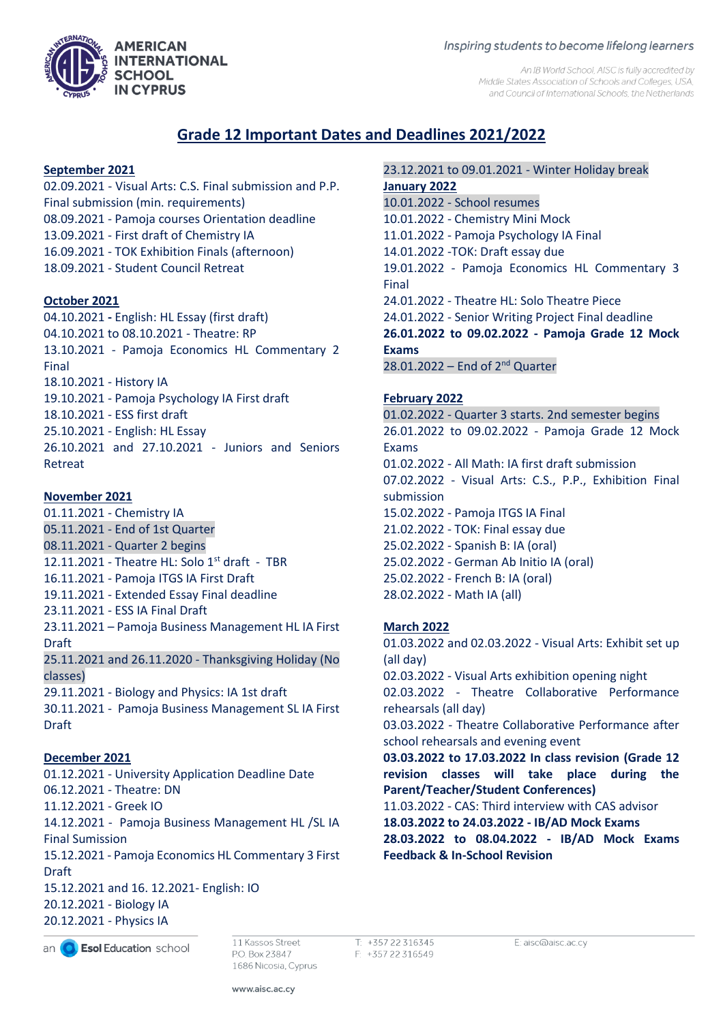## Inspiring students to become lifelong learners

An IB World School. AISC is fully accredited by Middle States Association of Schools and Colleges, USA, and Council of International Schools, the Netherlands

# **Grade 12 Important Dates and Deadlines 2021/2022**

# **September 2021**

02.09.2021 - Visual Arts: C.S. Final submission and P.P. Final submission (min. requirements) 08.09.2021 - Pamoja courses Orientation deadline 13.09.2021 - First draft of Chemistry IA 16.09.2021 - TOK Exhibition Finals (afternoon) 18.09.2021 - Student Council Retreat

# **October 2021**

04.10.2021 **-** English: HL Essay (first draft) 04.10.2021 to 08.10.2021 - Theatre: RP 13.10.2021 - Pamoja Economics HL Commentary 2 Final 18.10.2021 - History IA 19.10.2021 - Pamoja Psychology IA First draft 18.10.2021 - ESS first draft 25.10.2021 - English: HL Essay 26.10.2021 and 27.10.2021 - Juniors and Seniors Retreat

# **November 2021**

01.11.2021 - Chemistry IA 05.11.2021 - End of 1st Quarter 08.11.2021 - Quarter 2 begins 12.11.2021 - Theatre HL: Solo  $1<sup>st</sup>$  draft - TBR 16.11.2021 - Pamoja ITGS IA First Draft 19.11.2021 - Extended Essay Final deadline 23.11.2021 - ESS IA Final Draft 23.11.2021 – Pamoja Business Management HL IA First Draft 25.11.2021 and 26.11.2020 - Thanksgiving Holiday (No classes) 29.11.2021 - Biology and Physics: IA 1st draft 30.11.2021 - Pamoja Business Management SL IA First Draft

## **December 2021**

01.12.2021 - University Application Deadline Date 06.12.2021 - Theatre: DN 11.12.2021 - Greek IO 14.12.2021 - Pamoja Business Management HL /SL IA Final Sumission 15.12.2021 - Pamoja Economics HL Commentary 3 First Draft 15.12.2021 and 16. 12.2021- English: IO 20.12.2021 - Biology IA

20.12.2021 - Physics IA

an **C** Esol Education school

11 Kassos Street P.O. Box 23847 1686 Nicosia, Cyprus T: +357 22 316345 F: +357 22 316549

23.12.2021 to 09.01.2021 - Winter Holiday break **January 2022** 10.01.2022 - School resumes 10.01.2022 - Chemistry Mini Mock 11.01.2022 - Pamoja Psychology IA Final 14.01.2022 -TOK: Draft essay due 19.01.2022 - Pamoja Economics HL Commentary 3 Final 24.01.2022 - Theatre HL: Solo Theatre Piece 24.01.2022 - Senior Writing Project Final deadline **26.01.2022 to 09.02.2022 - Pamoja Grade 12 Mock Exams**   $28.01.2022$  – End of  $2<sup>nd</sup>$  Quarter

## **February 2022**

01.02.2022 - Quarter 3 starts. 2nd semester begins 26.01.2022 to 09.02.2022 - Pamoja Grade 12 Mock Exams 01.02.2022 - All Math: IA first draft submission 07.02.2022 - Visual Arts: C.S., P.P., Exhibition Final submission 15.02.2022 - Pamoja ITGS IA Final 21.02.2022 - TOK: Final essay due 25.02.2022 - Spanish B: IA (oral) 25.02.2022 - German Ab Initio IA (oral) 25.02.2022 - French B: IA (oral) 28.02.2022 - Math IA (all)

## **March 2022**

01.03.2022 and 02.03.2022 - Visual Arts: Exhibit set up (all day) 02.03.2022 - Visual Arts exhibition opening night 02.03.2022 - Theatre Collaborative Performance rehearsals (all day) 03.03.2022 - Theatre Collaborative Performance after school rehearsals and evening event **03.03.2022 to 17.03.2022 In class revision (Grade 12 revision classes will take place during the Parent/Teacher/Student Conferences)** 11.03.2022 - CAS: Third interview with CAS advisor **18.03.2022 to 24.03.2022 - IB/AD Mock Exams 28.03.2022 to 08.04.2022 - IB/AD Mock Exams Feedback & In-School Revision**